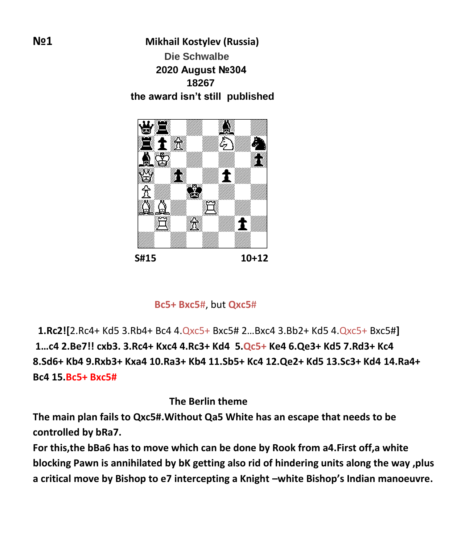**№1 Mikhail Kostylev (Russia) Die Schwalbe 2020 August №304 18267 the award isn't still published**



**Bc5+ Bxc5**#, but **Qxc5**#

 **1.Rc2![**2.Rc4+ Kd5 3.Rb4+ Bc4 4.Qxc5+ Bxc5# 2…Bxc4 3.Bb2+ Kd5 4.Qxc5+ Bxc5#**] 1…c4 2.Be7!! cxb3. 3.Rc4+ Kxc4 4.Rc3+ Kd4 5.Qc5+ Ke4 6.Qe3+ Kd5 7.Rd3+ Kc4 8.Sd6+ Kb4 9.Rxb3+ Kxa4 10.Ra3+ Kb4 11.Sb5+ Kc4 12.Qe2+ Kd5 13.Sc3+ Kd4 14.Ra4+ Bc4 15.Bc5+ Bxc5#**

 **The Berlin theme**

**The main plan fails to Qxc5#.Without Qa5 White has an escape that needs to be controlled by bRa7.**

**For this,the bBa6 has to move which can be done by Rook from a4.First off,a white blocking Pawn is annihilated by bK getting also rid of hindering units along the way ,plus a critical move by Bishop to e7 intercepting a Knight –white Bishop's Indian manoeuvre.**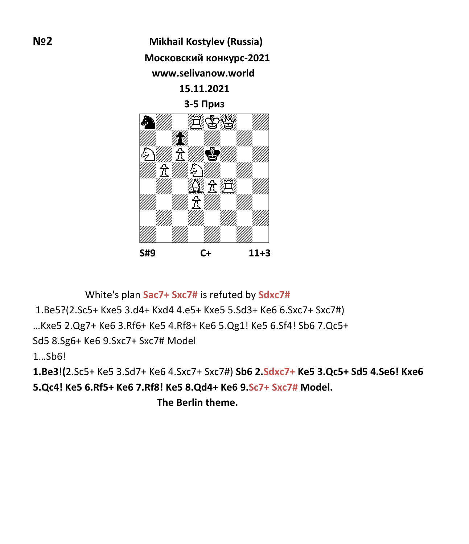**№2 Mikhail Kostylev (Russia) Московский конкурс-2021 www.selivanow.world 15.11.2021 3-5 Приз** À  $\tilde{\mathbf{T}}$  $\sum_{i=1}^{N}$ en de la factura<br>Marcola (1910)



White's plan **Sac7+ Sxc7#** is refuted by **Sdxc7#**

1.Be5?(2.Sc5+ Kxe5 3.d4+ Kxd4 4.e5+ Kxe5 5.Sd3+ Ke6 6.Sxc7+ Sxc7#)

…Kxe5 2.Qg7+ Ke6 3.Rf6+ Ke5 4.Rf8+ Ke6 5.Qg1! Ke5 6.Sf4! Sb6 7.Qc5+

Sd5 8.Sg6+ Ke6 9.Sxc7+ Sxc7# Model

1…Sb6!

**1.Be3!(**2.Sc5+ Ke5 3.Sd7+ Ke6 4.Sxc7+ Sxc7#) **Sb6 2.Sdxc7+ Ke5 3.Qc5+ Sd5 4.Se6! Kxe6 5.Qc4! Ke5 6.Rf5+ Ke6 7.Rf8! Ke5 8.Qd4+ Ke6 9.Sc7+ Sxc7# Model.**

 **The Berlin theme.**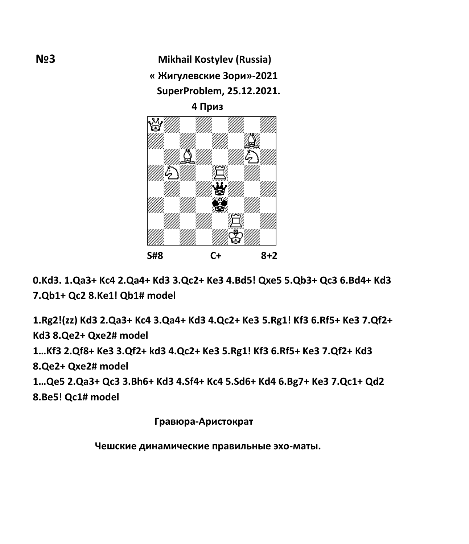**№3 Mikhail Kostylev (Russia) « Жигулевские Зори»-2021 SuperProblem, 25.12.2021.**

 **4 Приз**



**0.Kd3. 1.Qa3+ Kc4 2.Qa4+ Kd3 3.Qc2+ Ke3 4.Bd5! Qxe5 5.Qb3+ Qc3 6.Bd4+ Kd3 7.Qb1+ Qc2 8.Ke1! Qb1# model**

**1.Rg2!(zz) Kd3 2.Qa3+ Kc4 3.Qa4+ Kd3 4.Qc2+ Ke3 5.Rg1! Kf3 6.Rf5+ Ke3 7.Qf2+ Kd3 8.Qe2+ Qxe2# model**

**1…Kf3 2.Qf8+ Ke3 3.Qf2+ kd3 4.Qc2+ Ke3 5.Rg1! Kf3 6.Rf5+ Ke3 7.Qf2+ Kd3**

**8.Qe2+ Qxe2# model**

**1…Qe5 2.Qa3+ Qc3 3.Bh6+ Kd3 4.Sf4+ Kc4 5.Sd6+ Kd4 6.Bg7+ Ke3 7.Qc1+ Qd2 8.Be5! Qc1# model**

 **Гравюра-Аристократ**

 **Чешские динамические правильные эхо-маты.**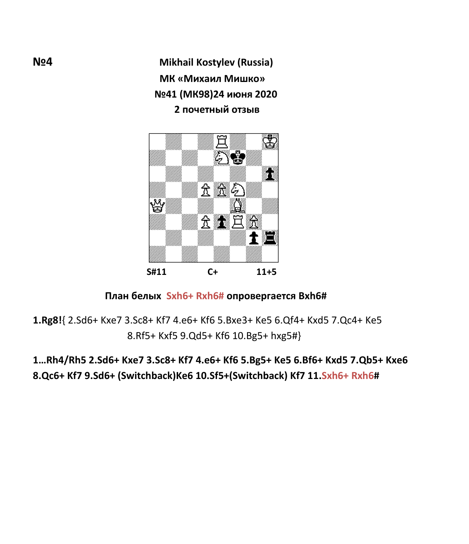**№4 Mikhail Kostylev (Russia) МК «Михаил Мишко» №41 (МК98)24 июня 2020 2 почетный отзыв**



## **План белых Sxh6+ Rxh6# опровергается Bxh6#**

**1.Rg8!**{ 2.Sd6+ Kxe7 3.Sc8+ Kf7 4.e6+ Kf6 5.Bxe3+ Ke5 6.Qf4+ Kxd5 7.Qc4+ Ke5 8.Rf5+ Kxf5 9.Qd5+ Kf6 10.Bg5+ hxg5#}

**1…Rh4/Rh5 2.Sd6+ Kxe7 3.Sc8+ Kf7 4.e6+ Kf6 5.Bg5+ Ke5 6.Bf6+ Kxd5 7.Qb5+ Kxe6 8.Qc6+ Kf7 9.Sd6+ (Switchback)Ke6 10.Sf5+(Switchback) Kf7 11.Sxh6+ Rxh6#**